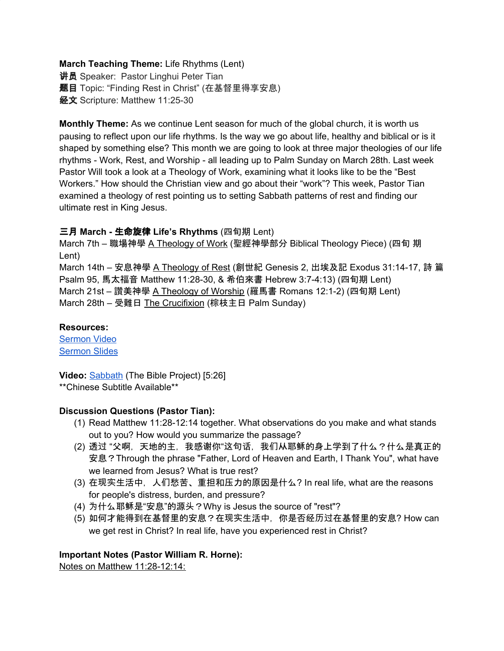## **March Teaching Theme:** Life Rhythms (Lent)

**讲员** Speaker: Pastor Linghui Peter Tian **题目** Topic: "Finding Rest in Christ" (在基督里得享安息) 经文 Scripture: Matthew 11:25-30

**Monthly Theme:** As we continue Lent season for much of the global church, it is worth us pausing to reflect upon our life rhythms. Is the way we go about life, healthy and biblical or is it shaped by something else? This month we are going to look at three major theologies of our life rhythms - Work, Rest, and Worship - all leading up to Palm Sunday on March 28th. Last week Pastor Will took a look at a Theology of Work, examining what it looks like to be the "Best Workers." How should the Christian view and go about their "work"? This week, Pastor Tian examined a theology of rest pointing us to setting Sabbath patterns of rest and finding our ultimate rest in King Jesus.

## 三月 **March -** 生命旋律 **Life's Rhythms** (四旬期 Lent)

March 7th – 職場神學 A Theology of Work (聖經神學部分 Biblical Theology Piece) (四旬 期 Lent)

March 14th – 安息神學 A Theology of Rest (創世紀 Genesis 2, 出埃及記 Exodus 31:14-17, 詩 篇 Psalm 95, 馬太福音 Matthew 11:28-30, & 希伯來書 Hebrew 3:7-4:13) (四旬期 Lent) March 21st – 讚美神學 A Theology of Worship (羅馬書 Romans 12:1-2) (四旬期 Lent) March 28th – 受難日 The Crucifixion (棕枝主日 Palm Sunday)

#### **Resources:**

[Sermon](https://www.youtube.com/watch?v=PjpPkN2JGkY) Video [Sermon](http://www.lcccky.org/CellGroup/Meetings/%E5%9C%A8%E5%9F%BA%E7%9D%A3%E9%87%8C%E5%BE%97%E4%BA%AB%E5%AE%89%E6%81%AF.pdf) Slides

**Video:** [Sabbath](https://bibleproject.com/explore/video/sabbath-video) (The Bible Project) [5:26]

\*\*Chinese Subtitle Available\*\*

## **Discussion Questions (Pastor Tian):**

- (1) Read Matthew 11:28-12:14 together. What observations do you make and what stands out to you? How would you summarize the passage?
- (2) 透过 "父啊,天地的主,我感谢你"这句话,我们从耶稣的身上学到了什么?什么是真正的 安息?Through the phrase "Father, Lord of Heaven and Earth, I Thank You", what have we learned from Jesus? What is true rest?
- (3) 在现实生活中, 人们愁苦、重担和压力的原因是什么? In real life, what are the reasons for people's distress, burden, and pressure?
- (4) 为什么耶稣是"安息"的源头?Why is Jesus the source of "rest"?
- (5) 如何才能得到在基督里的安息?在现实生活中,你是否经历过在基督里的安息? How can we get rest in Christ? In real life, have you experienced rest in Christ?

## **Important Notes (Pastor William R. Horne):**

Notes on Matthew 11:28-12:14: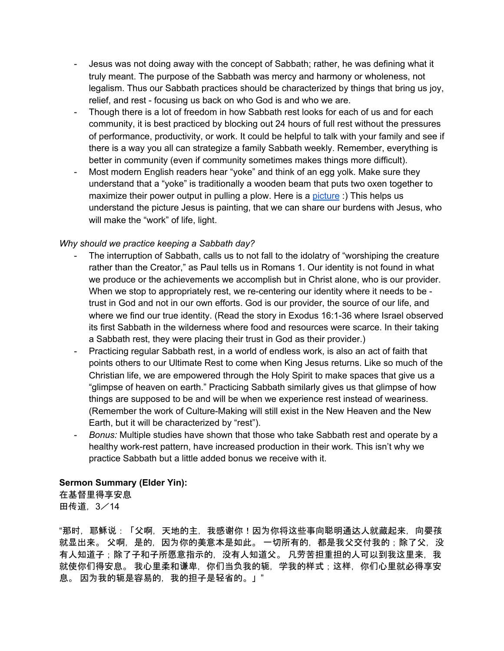- Jesus was not doing away with the concept of Sabbath; rather, he was defining what it truly meant. The purpose of the Sabbath was mercy and harmony or wholeness, not legalism. Thus our Sabbath practices should be characterized by things that bring us joy, relief, and rest - focusing us back on who God is and who we are.
- Though there is a lot of freedom in how Sabbath rest looks for each of us and for each community, it is best practiced by blocking out 24 hours of full rest without the pressures of performance, productivity, or work. It could be helpful to talk with your family and see if there is a way you all can strategize a family Sabbath weekly. Remember, everything is better in community (even if community sometimes makes things more difficult).
- Most modern English readers hear "yoke" and think of an egg yolk. Make sure they understand that a "yoke" is traditionally a wooden beam that puts two oxen together to maximize their power output in pulling a plow. Here is a [picture](https://www.google.com/search?q=oxen+yoke&safe=active&sxsrf=ALeKk03lciLAo3N8nKzmUXDUqYNvgcQVvw:1614284307968&source=lnms&tbm=isch&sa=X&ved=2ahUKEwisrfjV7YXvAhWEY80KHY8rAY4Q_AUoAXoECCEQAw&biw=1440&bih=850#imgrc=YCyaU5X_mSf3pM) :) This helps us understand the picture Jesus is painting, that we can share our burdens with Jesus, who will make the "work" of life, light.

#### *Why should we practice keeping a Sabbath day?*

- The interruption of Sabbath, calls us to not fall to the idolatry of "worshiping the creature" rather than the Creator," as Paul tells us in Romans 1. Our identity is not found in what we produce or the achievements we accomplish but in Christ alone, who is our provider. When we stop to appropriately rest, we re-centering our identity where it needs to be trust in God and not in our own efforts. God is our provider, the source of our life, and where we find our true identity. (Read the story in Exodus 16:1-36 where Israel observed its first Sabbath in the wilderness where food and resources were scarce. In their taking a Sabbath rest, they were placing their trust in God as their provider.)
- Practicing regular Sabbath rest, in a world of endless work, is also an act of faith that points others to our Ultimate Rest to come when King Jesus returns. Like so much of the Christian life, we are empowered through the Holy Spirit to make spaces that give us a "glimpse of heaven on earth." Practicing Sabbath similarly gives us that glimpse of how things are supposed to be and will be when we experience rest instead of weariness. (Remember the work of Culture-Making will still exist in the New Heaven and the New Earth, but it will be characterized by "rest").
- *Bonus:* Multiple studies have shown that those who take Sabbath rest and operate by a healthy work-rest pattern, have increased production in their work. This isn't why we practice Sabbath but a little added bonus we receive with it.

#### **Sermon Summary (Elder Yin):**

在基督里得享安息 田传道,3/14

"那时,耶稣说:「父啊,天地的主,我感谢你!因为你将这些事向聪明通达人就藏起来,向婴孩 就显出来。 父啊,是的,因为你的美意本是如此。 一切所有的,都是我父交付我的;除了父,没 有人知道子;除了子和子所愿意指示的,没有人知道父。 凡劳苦担重担的人可以到我这里来,我 就使你们得安息。 我心里柔和谦卑, 你们当负我的轭, 学我的样式;这样, 你们心里就必得享安 息。 因为我的轭是容易的,我的担子是轻省的。」"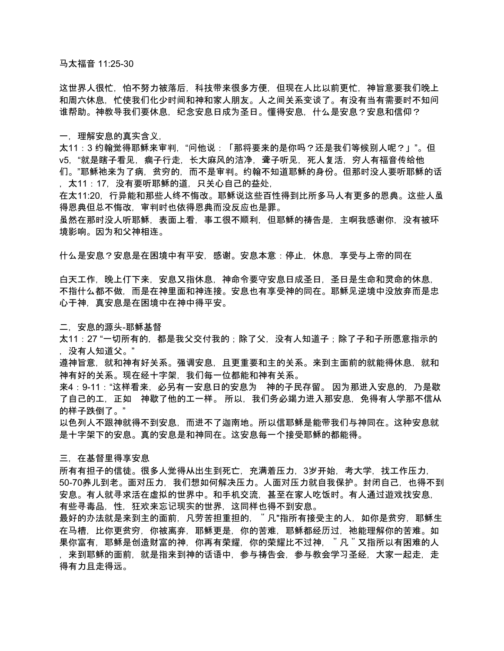马太福音 11:25-30

这世界人很忙,怕不努力被落后,科技带来很多方便,但现在人比以前更忙,神旨意要我们晚上 和周六休息,忙使我们化少时间和神和家人朋友。人之间关系变谈了。有没有当有需要时不知问 谁帮助。神教导我们要休息,纪念安息日成为圣日。懂得安息,什么是安息?安息和信仰?

一,理解安息的真实含义,

太11:3 约翰觉得耶稣来审判,"问他说:「那将要来的是你吗?还是我们等候别人呢?」"。但 v5,"就是瞎子看见, 瘸子行走, 长大麻风的洁净, 聋子听见, 死人复活, 穷人有福音传给他 们。"耶稣祂来为了病,贫穷的,而不是审判。约翰不知道耶稣的身份。但那时没人要听耶稣的话 ,太11:17,没有要听耶稣的道,只关心自己的益处,

在太11:20,行异能和那些人终不悔改。耶稣说这些百性得到比所多马人有更多的恩典。这些人虽 得恩典但总不悔改,审判时也依得恩典而没反应也是罪。

虽然在那时没人听耶稣,表面上看,事工很不顺利,但耶稣的祷告是,主啊我感谢你,没有被环 境影响。因为和父神相连。

什么是安息?安息是在困境中有平安,感谢。安息本意:停止,休息,享受与上帝的同在

白天工作,晚上仃下来,安息又指休息,神命令要守安息日成圣日,圣日是生命和灵命的休息, 不指什么都不做,而是在神里面和神连接。安息也有享受神的同在。耶稣见逆境中没放弃而是忠 心于神,真安息是在困境中在神中得平安。

二,安息的源头-耶稣基督

太11:27 "一切所有的,都是我父交付我的;除了父,没有人知道子;除了子和子所愿意指示的 ,没有人知道父。"

遵神旨意,就和神有好关系。强调安息,且更重要和主的关系。来到主面前的就能得休息,就和 神有好的关系。现在经十字架,我们每一位都能和神有关系。

来4:9-11:"这样看来,必另有一安息日的安息为 神的子民存留。 因为那进入安息的,乃是歇 了自己的工,正如 神歇了他的工一样。 所以,我们务必竭力进入那安息,免得有人学那不信从 的样子跌倒了。"

以色列人不跟神就得不到安息,而进不了迦南地。所以信耶稣是能带我们与神同在。这种安息就 是十字架下的安息。真的安息是和神同在。这安息每一个接受耶稣的都能得。

三,在基督里得享安息

所有有担子的信徒。很多人觉得从出生到死亡,充满着压力,3岁开始,考大学,找工作压力, 50-70养儿到老。面对压力,我们想如何解决压力。人面对压力就自我保护。封闭自己,也得不到 安息。有人就寻求活在虚拟的世界中。和手机交流,甚至在家人吃饭时。有人通过遊戏找安息, 有些寻毒品,性,狂欢来忘记现实的世界,这同样也得不到安息。

最好的办法就是来到主的面前,凡劳苦担重担的,"凡"指所有接受主的人,如你是贫穷,耶稣生 在马槽,比你更贫穷,你被离弃,耶稣更是,你的苦难,耶稣都经历过,祂能理解你的苦难。如 果你富有,耶稣是创造财富的神,你再有荣耀,你的荣耀比不过神,"凡"又指所以有困难的人 ,来到耶稣的面前,就是指来到神的话语中,参与祷告会,参与教会学习圣经,大家一起走,走 得有力且走得远。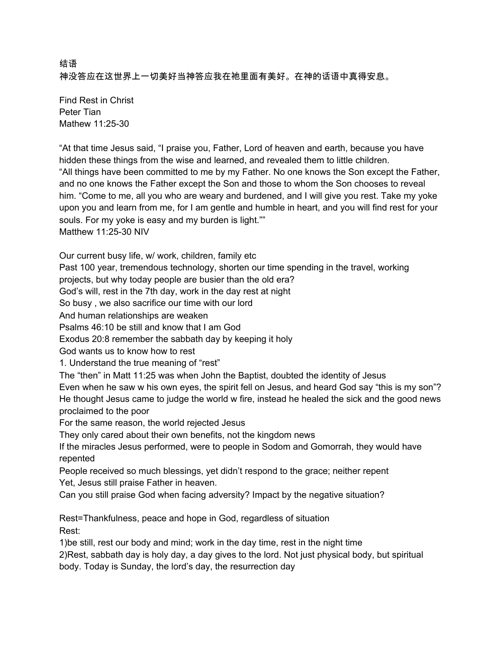# 结语 神没答应在这世界上一切美好当神答应我在祂里面有美好。在神的话语中真得安息。

Find Rest in Christ Peter Tian Mathew 11:25-30

"At that time Jesus said, "I praise you, Father, Lord of heaven and earth, because you have hidden these things from the wise and learned, and revealed them to little children. "All things have been committed to me by my Father. No one knows the Son except the Father, and no one knows the Father except the Son and those to whom the Son chooses to reveal him. "Come to me, all you who are weary and burdened, and I will give you rest. Take my yoke upon you and learn from me, for I am gentle and humble in heart, and you will find rest for your souls. For my yoke is easy and my burden is light."" Matthew 11:25-30 NIV

Our current busy life, w/ work, children, family etc

Past 100 year, tremendous technology, shorten our time spending in the travel, working

projects, but why today people are busier than the old era?

God's will, rest in the 7th day, work in the day rest at night

So busy , we also sacrifice our time with our lord

And human relationships are weaken

Psalms 46:10 be still and know that I am God

Exodus 20:8 remember the sabbath day by keeping it holy

God wants us to know how to rest

1. Understand the true meaning of "rest"

The "then" in Matt 11:25 was when John the Baptist, doubted the identity of Jesus

Even when he saw w his own eyes, the spirit fell on Jesus, and heard God say "this is my son"? He thought Jesus came to judge the world w fire, instead he healed the sick and the good news proclaimed to the poor

For the same reason, the world rejected Jesus

They only cared about their own benefits, not the kingdom news

If the miracles Jesus performed, were to people in Sodom and Gomorrah, they would have repented

People received so much blessings, yet didn't respond to the grace; neither repent Yet, Jesus still praise Father in heaven.

Can you still praise God when facing adversity? Impact by the negative situation?

Rest=Thankfulness, peace and hope in God, regardless of situation Rest:

1)be still, rest our body and mind; work in the day time, rest in the night time

2)Rest, sabbath day is holy day, a day gives to the lord. Not just physical body, but spiritual body. Today is Sunday, the lord's day, the resurrection day